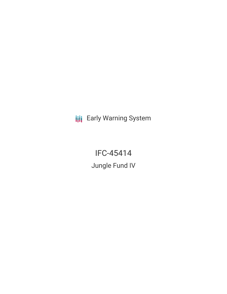**III** Early Warning System

IFC-45414 Jungle Fund IV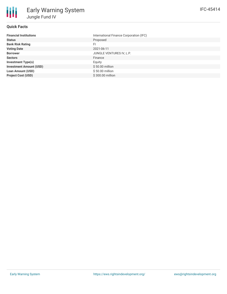

## **Quick Facts**

| International Finance Corporation (IFC) |
|-----------------------------------------|
| Proposed                                |
| FI                                      |
| 2021-06-11                              |
| JUNGLE VENTURES IV, L.P.                |
| Finance                                 |
| Equity                                  |
| \$50.00 million                         |
| \$50.00 million                         |
| \$300.00 million                        |
|                                         |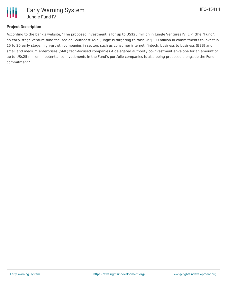

# **Project Description**

According to the bank's website, "The proposed investment is for up to US\$25 million in Jungle Ventures IV, L.P. (the "Fund"), an early-stage venture fund focused on Southeast Asia. Jungle is targeting to raise US\$300 million in commitments to invest in 15 to 20 early stage, high-growth companies in sectors such as consumer internet, fintech, business to business (B2B) and small and medium enterprises (SME) tech-focused companies.A delegated authority co-investment envelope for an amount of up to US\$25 million in potential co-investments in the Fund's portfolio companies is also being proposed alongside the Fund commitment."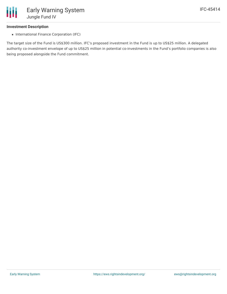## **Investment Description**

• International Finance Corporation (IFC)

The target size of the Fund is US\$300 million. IFC's proposed investment in the Fund is up to US\$25 million. A delegated authority co-investment envelope of up to US\$25 million in potential co-investments in the Fund's portfolio companies is also being proposed alongside the Fund commitment.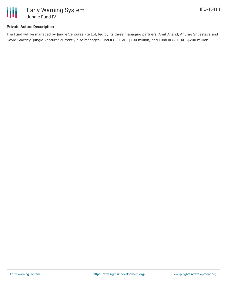

## **Private Actors Description**

The Fund will be managed by Jungle Ventures Pte Ltd, led by its three managing partners, Amit Anand, Anurag Srivastava and David Gowdey. Jungle Ventures currently also manages Fund II (2016/US\$100 million) and Fund III (2019/US\$200 million).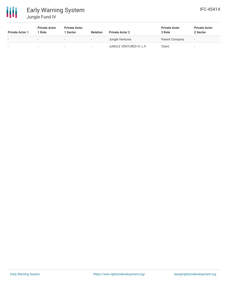

# Early Warning System Jungle Fund IV

| <b>Private Actor 1</b> | <b>Private Actor</b><br>l Role | <b>Private Actor</b><br>1 Sector | <b>Relation</b>          | <b>Private Actor 2</b>   | <b>Private Actor</b><br>2 Role | <b>Private Actor</b><br>2 Sector |
|------------------------|--------------------------------|----------------------------------|--------------------------|--------------------------|--------------------------------|----------------------------------|
|                        | $\overline{\phantom{a}}$       | $\overline{\phantom{a}}$         | $\overline{\phantom{a}}$ | Jungle Ventures          | Parent Company                 | $\overline{\phantom{a}}$         |
| -                      |                                |                                  | -                        | JUNGLE VENTURES IV, L.P. | Client                         |                                  |